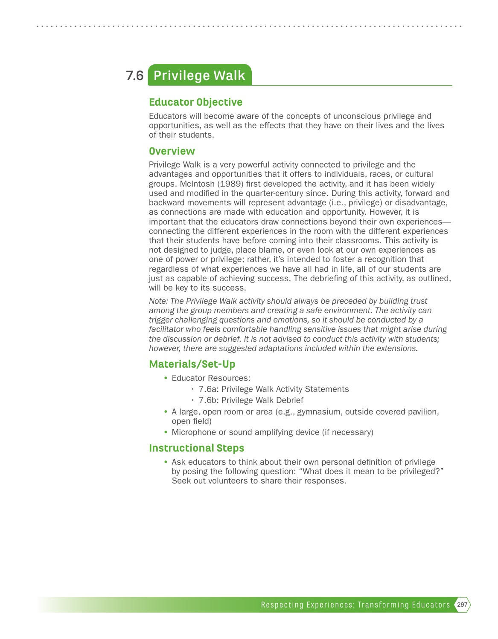# **Privilege Walk 7.6**

### Educator Objective

Educators will become aware of the concepts of unconscious privilege and opportunities, as well as the effects that they have on their lives and the lives of their students.

#### **Overview**

Privilege Walk is a very powerful activity connected to privilege and the advantages and opportunities that it offers to individuals, races, or cultural groups. McIntosh (1989) first developed the activity, and it has been widely used and modified in the quarter-century since. During this activity, forward and backward movements will represent advantage (i.e., privilege) or disadvantage, as connections are made with education and opportunity. However, it is important that the educators draw connections beyond their own experiences connecting the different experiences in the room with the different experiences that their students have before coming into their classrooms. This activity is not designed to judge, place blame, or even look at our own experiences as one of power or privilege; rather, it's intended to foster a recognition that regardless of what experiences we have all had in life, all of our students are just as capable of achieving success. The debriefing of this activity, as outlined, will be key to its success.

*Note: The Privilege Walk activity should always be preceded by building trust among the group members and creating a safe environment. The activity can trigger challenging questions and emotions, so it should be conducted by a*  facilitator who feels comfortable handling sensitive issues that might arise during *the discussion or debrief. It is not advised to conduct this activity with students; however, there are suggested adaptations included within the extensions.*

### Materials/Set-Up

- Educator Resources:
	- 7.6a: Privilege Walk Activity Statements
	- 7.6b: Privilege Walk Debrief
- A large, open room or area (e.g., gymnasium, outside covered pavilion, open field)
- Microphone or sound amplifying device (if necessary)

#### Instructional Steps

• Ask educators to think about their own personal definition of privilege by posing the following question: "What does it mean to be privileged?" Seek out volunteers to share their responses.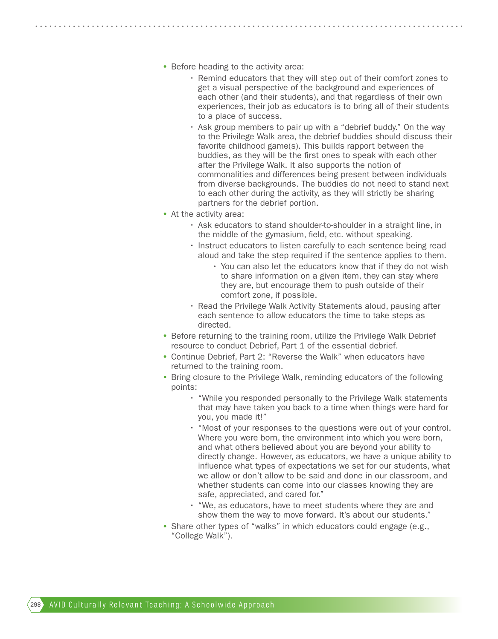- Before heading to the activity area:
	- Remind educators that they will step out of their comfort zones to get a visual perspective of the background and experiences of each other (and their students), and that regardless of their own experiences, their job as educators is to bring all of their students to a place of success.
	- Ask group members to pair up with a "debrief buddy." On the way to the Privilege Walk area, the debrief buddies should discuss their favorite childhood game(s). This builds rapport between the buddies, as they will be the first ones to speak with each other after the Privilege Walk. It also supports the notion of commonalities and differences being present between individuals from diverse backgrounds. The buddies do not need to stand next to each other during the activity, as they will strictly be sharing partners for the debrief portion.
- At the activity area:
	- Ask educators to stand shoulder-to-shoulder in a straight line, in the middle of the gymasium, field, etc. without speaking.
	- Instruct educators to listen carefully to each sentence being read aloud and take the step required if the sentence applies to them.
		- You can also let the educators know that if they do not wish to share information on a given item, they can stay where they are, but encourage them to push outside of their comfort zone, if possible.
	- Read the Privilege Walk Activity Statements aloud, pausing after each sentence to allow educators the time to take steps as directed.
- Before returning to the training room, utilize the Privilege Walk Debrief resource to conduct Debrief, Part 1 of the essential debrief.
- Continue Debrief, Part 2: "Reverse the Walk" when educators have returned to the training room.
- Bring closure to the Privilege Walk, reminding educators of the following points:
	- "While you responded personally to the Privilege Walk statements that may have taken you back to a time when things were hard for you, you made it!"
	- "Most of your responses to the questions were out of your control. Where you were born, the environment into which you were born, and what others believed about you are beyond your ability to directly change. However, as educators, we have a unique ability to influence what types of expectations we set for our students, what we allow or don't allow to be said and done in our classroom, and whether students can come into our classes knowing they are safe, appreciated, and cared for."
	- "We, as educators, have to meet students where they are and show them the way to move forward. It's about our students."
- Share other types of "walks" in which educators could engage (e.g., "College Walk").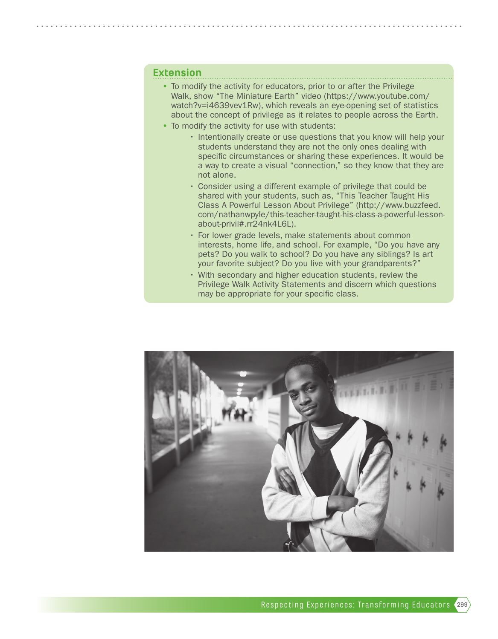#### Extension

- To modify the activity for educators, prior to or after the Privilege Walk, show "The Miniature Earth" video (https://www.youtube.com/ watch?v=i4639vev1Rw), which reveals an eye-opening set of statistics about the concept of privilege as it relates to people across the Earth.
- To modify the activity for use with students:
	- Intentionally create or use questions that you know will help your students understand they are not the only ones dealing with specific circumstances or sharing these experiences. It would be a way to create a visual "connection," so they know that they are not alone.
	- Consider using a different example of privilege that could be shared with your students, such as, "This Teacher Taught His Class A Powerful Lesson About Privilege" (http://www.buzzfeed. com/nathanwpyle/this-teacher-taught-his-class-a-powerful-lessonabout-privil#.rr24nk4L6L).
	- For lower grade levels, make statements about common interests, home life, and school. For example, "Do you have any pets? Do you walk to school? Do you have any siblings? Is art your favorite subject? Do you live with your grandparents?"
	- With secondary and higher education students, review the Privilege Walk Activity Statements and discern which questions may be appropriate for your specific class.

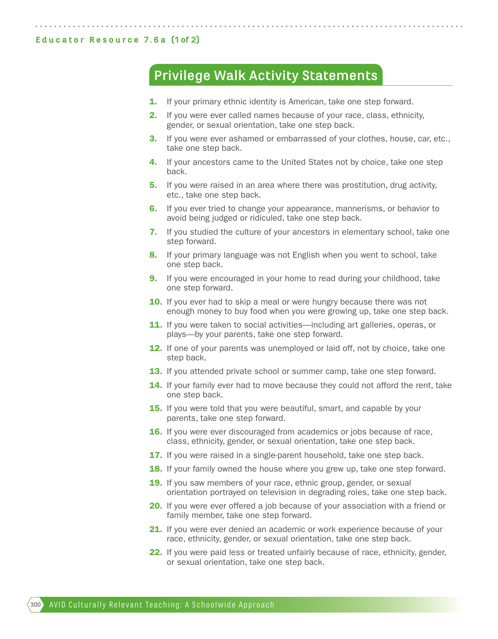#### Educator Resource 7.6a (1 of 2)

## **Privilege Walk Activity Statements**

- **1.** If your primary ethnic identity is American, take one step forward.
- 2. If you were ever called names because of your race, class, ethnicity, gender, or sexual orientation, take one step back.
- **3.** If you were ever ashamed or embarrassed of your clothes, house, car, etc., take one step back.
- **4.** If your ancestors came to the United States not by choice, take one step back.
- **5.** If you were raised in an area where there was prostitution, drug activity, etc., take one step back.
- 6. If you ever tried to change your appearance, mannerisms, or behavior to avoid being judged or ridiculed, take one step back.
- **7.** If you studied the culture of your ancestors in elementary school, take one step forward.
- 8. If your primary language was not English when you went to school, take one step back.
- **9.** If you were encouraged in your home to read during your childhood, take one step forward.
- 10. If you ever had to skip a meal or were hungry because there was not enough money to buy food when you were growing up, take one step back.
- **11.** If you were taken to social activities—including art galleries, operas, or plays—by your parents, take one step forward.
- **12.** If one of your parents was unemployed or laid off, not by choice, take one step back.
- 13. If you attended private school or summer camp, take one step forward.
- **14.** If your family ever had to move because they could not afford the rent, take one step back.
- **15.** If you were told that you were beautiful, smart, and capable by your parents, take one step forward.
- **16.** If you were ever discouraged from academics or jobs because of race, class, ethnicity, gender, or sexual orientation, take one step back.
- **17.** If you were raised in a single-parent household, take one step back.
- **18.** If your family owned the house where you grew up, take one step forward.
- **19.** If you saw members of your race, ethnic group, gender, or sexual orientation portrayed on television in degrading roles, take one step back.
- 20. If you were ever offered a job because of your association with a friend or family member, take one step forward.
- **21.** If you were ever denied an academic or work experience because of your race, ethnicity, gender, or sexual orientation, take one step back.
- 22. If you were paid less or treated unfairly because of race, ethnicity, gender, or sexual orientation, take one step back.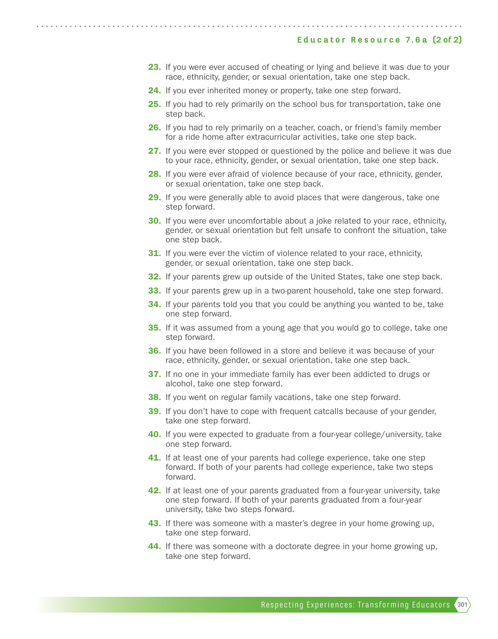- 23. If you were ever accused of cheating or lying and believe it was due to your race, ethnicity, gender, or sexual orientation, take one step back.
- 24. If you ever inherited money or property, take one step forward.
- **25.** If you had to rely primarily on the school bus for transportation, take one step back.
- **26.** If you had to rely primarily on a teacher, coach, or friend's family member for a ride home after extracurricular activities, take one step back.
- 27. If you were ever stopped or questioned by the police and believe it was due to your race, ethnicity, gender, or sexual orientation, take one step back.
- 28. If you were ever afraid of violence because of your race, ethnicity, gender, or sexual orientation, take one step back.
- 29. If you were generally able to avoid places that were dangerous, take one step forward.
- **30.** If you were ever uncomfortable about a joke related to your race, ethnicity, gender, or sexual orientation but felt unsafe to confront the situation, take one step back.
- **31.** If you were ever the victim of violence related to your race, ethnicity, gender, or sexual orientation, take one step back.
- **32.** If your parents grew up outside of the United States, take one step back.
- **33.** If your parents grew up in a two-parent household, take one step forward.
- **34.** If your parents told you that you could be anything you wanted to be, take one step forward.
- **35.** If it was assumed from a young age that you would go to college, take one step forward.
- **36.** If you have been followed in a store and believe it was because of your race, ethnicity, gender, or sexual orientation, take one step back.
- 37. If no one in your immediate family has ever been addicted to drugs or alcohol, take one step forward.
- **38.** If you went on regular family vacations, take one step forward.
- **39.** If you don't have to cope with frequent catcalls because of your gender, take one step forward.
- **40.** If you were expected to graduate from a four-year college/university, take one step forward.
- **41.** If at least one of your parents had college experience, take one step forward. If both of your parents had college experience, take two steps forward.
- **42.** If at least one of your parents graduated from a four-year university, take one step forward. If both of your parents graduated from a four-year university, take two steps forward.
- **43.** If there was someone with a master's degree in your home growing up, take one step forward.
- 44. If there was someone with a doctorate degree in your home growing up, take one step forward.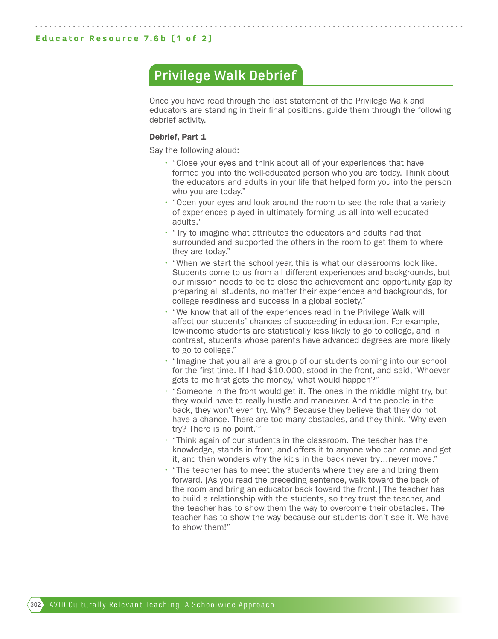### **Privilege Walk Debrief**

Once you have read through the last statement of the Privilege Walk and educators are standing in their final positions, guide them through the following debrief activity.

#### Debrief, Part 1

Say the following aloud:

- "Close your eyes and think about all of your experiences that have formed you into the well-educated person who you are today. Think about the educators and adults in your life that helped form you into the person who you are today."
- "Open your eyes and look around the room to see the role that a variety of experiences played in ultimately forming us all into well-educated adults."
- "Try to imagine what attributes the educators and adults had that surrounded and supported the others in the room to get them to where they are today."
- "When we start the school year, this is what our classrooms look like. Students come to us from all different experiences and backgrounds, but our mission needs to be to close the achievement and opportunity gap by preparing all students, no matter their experiences and backgrounds, for college readiness and success in a global society."
- "We know that all of the experiences read in the Privilege Walk will affect our students' chances of succeeding in education. For example, low-income students are statistically less likely to go to college, and in contrast, students whose parents have advanced degrees are more likely to go to college."
- "Imagine that you all are a group of our students coming into our school for the first time. If I had \$10,000, stood in the front, and said, 'Whoever gets to me first gets the money,' what would happen?"
- "Someone in the front would get it. The ones in the middle might try, but they would have to really hustle and maneuver. And the people in the back, they won't even try. Why? Because they believe that they do not have a chance. There are too many obstacles, and they think, 'Why even try? There is no point.'"
- "Think again of our students in the classroom. The teacher has the knowledge, stands in front, and offers it to anyone who can come and get it, and then wonders why the kids in the back never try…never move."
- "The teacher has to meet the students where they are and bring them forward. [As you read the preceding sentence, walk toward the back of the room and bring an educator back toward the front.] The teacher has to build a relationship with the students, so they trust the teacher, and the teacher has to show them the way to overcome their obstacles. The teacher has to show the way because our students don't see it. We have to show them!"